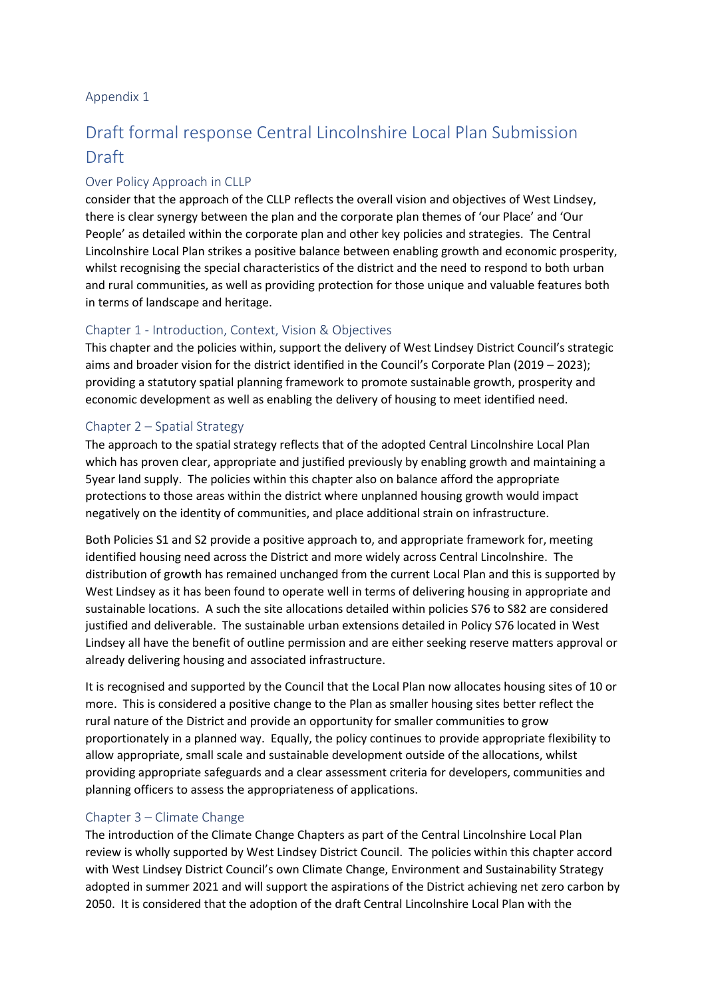# Appendix 1

# Draft formal response Central Lincolnshire Local Plan Submission Draft

# Over Policy Approach in CLLP

consider that the approach of the CLLP reflects the overall vision and objectives of West Lindsey, there is clear synergy between the plan and the corporate plan themes of 'our Place' and 'Our People' as detailed within the corporate plan and other key policies and strategies. The Central Lincolnshire Local Plan strikes a positive balance between enabling growth and economic prosperity, whilst recognising the special characteristics of the district and the need to respond to both urban and rural communities, as well as providing protection for those unique and valuable features both in terms of landscape and heritage.

# Chapter 1 - Introduction, Context, Vision & Objectives

This chapter and the policies within, support the delivery of West Lindsey District Council's strategic aims and broader vision for the district identified in the Council's Corporate Plan (2019 – 2023); providing a statutory spatial planning framework to promote sustainable growth, prosperity and economic development as well as enabling the delivery of housing to meet identified need.

# Chapter 2 – Spatial Strategy

The approach to the spatial strategy reflects that of the adopted Central Lincolnshire Local Plan which has proven clear, appropriate and justified previously by enabling growth and maintaining a 5year land supply. The policies within this chapter also on balance afford the appropriate protections to those areas within the district where unplanned housing growth would impact negatively on the identity of communities, and place additional strain on infrastructure.

Both Policies S1 and S2 provide a positive approach to, and appropriate framework for, meeting identified housing need across the District and more widely across Central Lincolnshire. The distribution of growth has remained unchanged from the current Local Plan and this is supported by West Lindsey as it has been found to operate well in terms of delivering housing in appropriate and sustainable locations. A such the site allocations detailed within policies S76 to S82 are considered justified and deliverable. The sustainable urban extensions detailed in Policy S76 located in West Lindsey all have the benefit of outline permission and are either seeking reserve matters approval or already delivering housing and associated infrastructure.

It is recognised and supported by the Council that the Local Plan now allocates housing sites of 10 or more. This is considered a positive change to the Plan as smaller housing sites better reflect the rural nature of the District and provide an opportunity for smaller communities to grow proportionately in a planned way. Equally, the policy continues to provide appropriate flexibility to allow appropriate, small scale and sustainable development outside of the allocations, whilst providing appropriate safeguards and a clear assessment criteria for developers, communities and planning officers to assess the appropriateness of applications.

# Chapter 3 – Climate Change

The introduction of the Climate Change Chapters as part of the Central Lincolnshire Local Plan review is wholly supported by West Lindsey District Council. The policies within this chapter accord with West Lindsey District Council's own Climate Change, Environment and Sustainability Strategy adopted in summer 2021 and will support the aspirations of the District achieving net zero carbon by 2050. It is considered that the adoption of the draft Central Lincolnshire Local Plan with the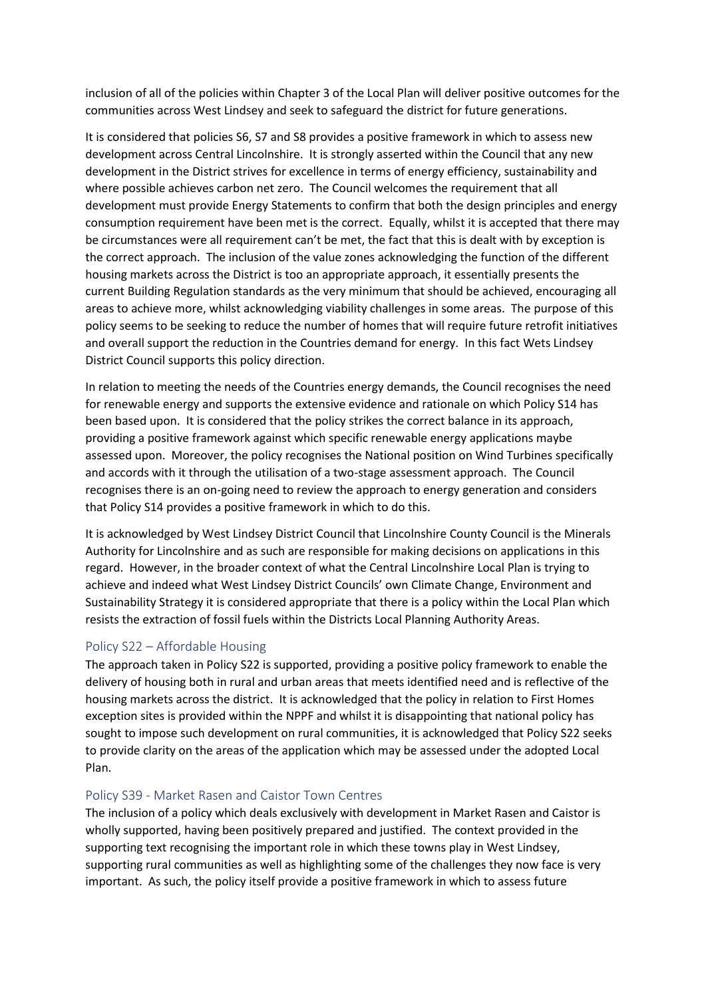inclusion of all of the policies within Chapter 3 of the Local Plan will deliver positive outcomes for the communities across West Lindsey and seek to safeguard the district for future generations.

It is considered that policies S6, S7 and S8 provides a positive framework in which to assess new development across Central Lincolnshire. It is strongly asserted within the Council that any new development in the District strives for excellence in terms of energy efficiency, sustainability and where possible achieves carbon net zero. The Council welcomes the requirement that all development must provide Energy Statements to confirm that both the design principles and energy consumption requirement have been met is the correct. Equally, whilst it is accepted that there may be circumstances were all requirement can't be met, the fact that this is dealt with by exception is the correct approach. The inclusion of the value zones acknowledging the function of the different housing markets across the District is too an appropriate approach, it essentially presents the current Building Regulation standards as the very minimum that should be achieved, encouraging all areas to achieve more, whilst acknowledging viability challenges in some areas. The purpose of this policy seems to be seeking to reduce the number of homes that will require future retrofit initiatives and overall support the reduction in the Countries demand for energy. In this fact Wets Lindsey District Council supports this policy direction.

In relation to meeting the needs of the Countries energy demands, the Council recognises the need for renewable energy and supports the extensive evidence and rationale on which Policy S14 has been based upon. It is considered that the policy strikes the correct balance in its approach, providing a positive framework against which specific renewable energy applications maybe assessed upon. Moreover, the policy recognises the National position on Wind Turbines specifically and accords with it through the utilisation of a two-stage assessment approach. The Council recognises there is an on-going need to review the approach to energy generation and considers that Policy S14 provides a positive framework in which to do this.

It is acknowledged by West Lindsey District Council that Lincolnshire County Council is the Minerals Authority for Lincolnshire and as such are responsible for making decisions on applications in this regard. However, in the broader context of what the Central Lincolnshire Local Plan is trying to achieve and indeed what West Lindsey District Councils' own Climate Change, Environment and Sustainability Strategy it is considered appropriate that there is a policy within the Local Plan which resists the extraction of fossil fuels within the Districts Local Planning Authority Areas.

# Policy S22 – Affordable Housing

The approach taken in Policy S22 is supported, providing a positive policy framework to enable the delivery of housing both in rural and urban areas that meets identified need and is reflective of the housing markets across the district. It is acknowledged that the policy in relation to First Homes exception sites is provided within the NPPF and whilst it is disappointing that national policy has sought to impose such development on rural communities, it is acknowledged that Policy S22 seeks to provide clarity on the areas of the application which may be assessed under the adopted Local Plan.

# Policy S39 - Market Rasen and Caistor Town Centres

The inclusion of a policy which deals exclusively with development in Market Rasen and Caistor is wholly supported, having been positively prepared and justified. The context provided in the supporting text recognising the important role in which these towns play in West Lindsey, supporting rural communities as well as highlighting some of the challenges they now face is very important. As such, the policy itself provide a positive framework in which to assess future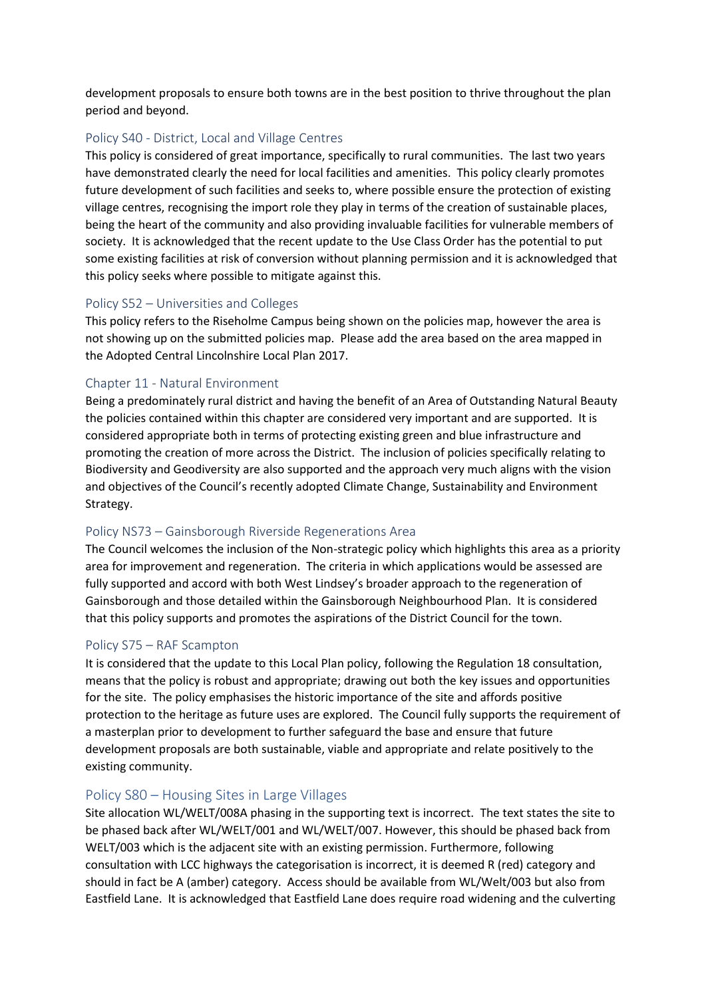development proposals to ensure both towns are in the best position to thrive throughout the plan period and beyond.

# Policy S40 - District, Local and Village Centres

This policy is considered of great importance, specifically to rural communities. The last two years have demonstrated clearly the need for local facilities and amenities. This policy clearly promotes future development of such facilities and seeks to, where possible ensure the protection of existing village centres, recognising the import role they play in terms of the creation of sustainable places, being the heart of the community and also providing invaluable facilities for vulnerable members of society. It is acknowledged that the recent update to the Use Class Order has the potential to put some existing facilities at risk of conversion without planning permission and it is acknowledged that this policy seeks where possible to mitigate against this.

# Policy S52 – Universities and Colleges

This policy refers to the Riseholme Campus being shown on the policies map, however the area is not showing up on the submitted policies map. Please add the area based on the area mapped in the Adopted Central Lincolnshire Local Plan 2017.

# Chapter 11 - Natural Environment

Being a predominately rural district and having the benefit of an Area of Outstanding Natural Beauty the policies contained within this chapter are considered very important and are supported. It is considered appropriate both in terms of protecting existing green and blue infrastructure and promoting the creation of more across the District. The inclusion of policies specifically relating to Biodiversity and Geodiversity are also supported and the approach very much aligns with the vision and objectives of the Council's recently adopted Climate Change, Sustainability and Environment Strategy.

# Policy NS73 – Gainsborough Riverside Regenerations Area

The Council welcomes the inclusion of the Non-strategic policy which highlights this area as a priority area for improvement and regeneration. The criteria in which applications would be assessed are fully supported and accord with both West Lindsey's broader approach to the regeneration of Gainsborough and those detailed within the Gainsborough Neighbourhood Plan. It is considered that this policy supports and promotes the aspirations of the District Council for the town.

#### Policy S75 – RAF Scampton

It is considered that the update to this Local Plan policy, following the Regulation 18 consultation, means that the policy is robust and appropriate; drawing out both the key issues and opportunities for the site. The policy emphasises the historic importance of the site and affords positive protection to the heritage as future uses are explored. The Council fully supports the requirement of a masterplan prior to development to further safeguard the base and ensure that future development proposals are both sustainable, viable and appropriate and relate positively to the existing community.

# Policy S80 – Housing Sites in Large Villages

Site allocation WL/WELT/008A phasing in the supporting text is incorrect. The text states the site to be phased back after WL/WELT/001 and WL/WELT/007. However, this should be phased back from WELT/003 which is the adjacent site with an existing permission. Furthermore, following consultation with LCC highways the categorisation is incorrect, it is deemed R (red) category and should in fact be A (amber) category. Access should be available from WL/Welt/003 but also from Eastfield Lane. It is acknowledged that Eastfield Lane does require road widening and the culverting